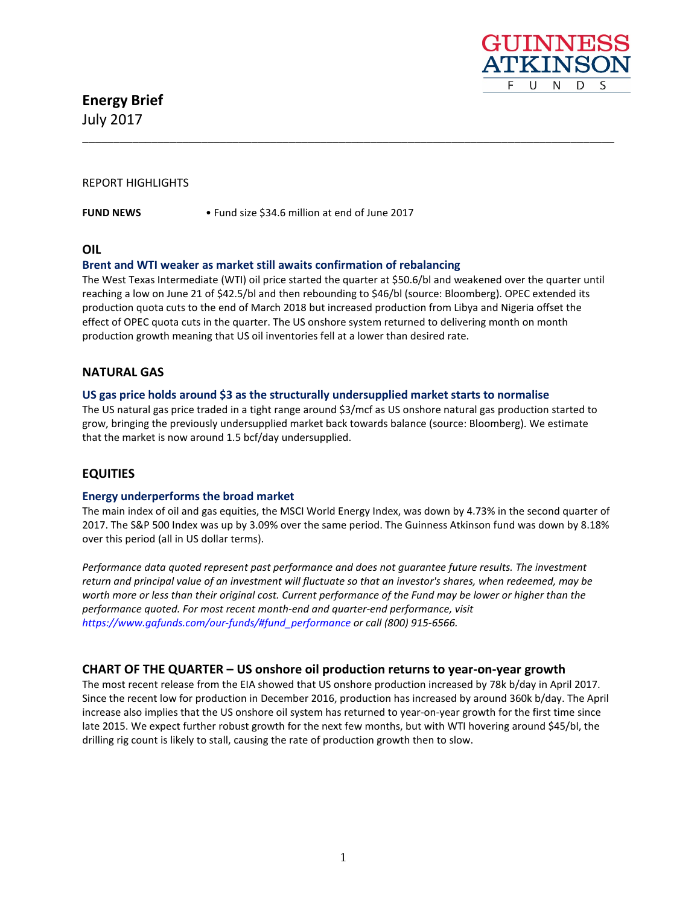**Energy Brief** July 2017



## REPORT HIGHLIGHTS

**FUND NEWS** • Fund size \$34.6 million at end of June 2017

**OIL** 

#### **Brent and WTI weaker as market still awaits confirmation of rebalancing**

The West Texas Intermediate (WTI) oil price started the quarter at \$50.6/bl and weakened over the quarter until reaching a low on June 21 of \$42.5/bl and then rebounding to \$46/bl (source: Bloomberg). OPEC extended its production quota cuts to the end of March 2018 but increased production from Libya and Nigeria offset the effect of OPEC quota cuts in the quarter. The US onshore system returned to delivering month on month production growth meaning that US oil inventories fell at a lower than desired rate.

\_\_\_\_\_\_\_\_\_\_\_\_\_\_\_\_\_\_\_\_\_\_\_\_\_\_\_\_\_\_\_\_\_\_\_\_\_\_\_\_\_\_\_\_\_\_\_\_\_\_\_\_\_\_\_\_\_\_\_\_\_\_\_\_\_\_\_\_\_\_\_\_\_\_\_\_\_\_\_\_\_\_\_\_\_

#### **NATURAL GAS**

#### **US gas price holds around \$3 as the structurally undersupplied market starts to normalise**

The US natural gas price traded in a tight range around \$3/mcf as US onshore natural gas production started to grow, bringing the previously undersupplied market back towards balance (source: Bloomberg). We estimate that the market is now around 1.5 bcf/day undersupplied.

#### **EQUITIES**

#### **Energy underperforms the broad market**

The main index of oil and gas equities, the MSCI World Energy Index, was down by 4.73% in the second quarter of 2017. The S&P 500 Index was up by 3.09% over the same period. The Guinness Atkinson fund was down by 8.18% over this period (all in US dollar terms).

*Performance data quoted represent past performance and does not guarantee future results. The investment return and principal value of an investment will fluctuate so that an investor's shares, when redeemed, may be worth more or less than their original cost. Current performance of the Fund may be lower or higher than the performance quoted. For most recent month-end and quarter-end performance, visit [https://www.gafunds.com/our-funds/#fund\\_performance](https://www.gafunds.com/our-funds/#fund_performance) or call (800) 915-6566.*

#### **CHART OF THE QUARTER – US onshore oil production returns to year-on-year growth**

The most recent release from the EIA showed that US onshore production increased by 78k b/day in April 2017. Since the recent low for production in December 2016, production has increased by around 360k b/day. The April increase also implies that the US onshore oil system has returned to year-on-year growth for the first time since late 2015. We expect further robust growth for the next few months, but with WTI hovering around \$45/bl, the drilling rig count is likely to stall, causing the rate of production growth then to slow.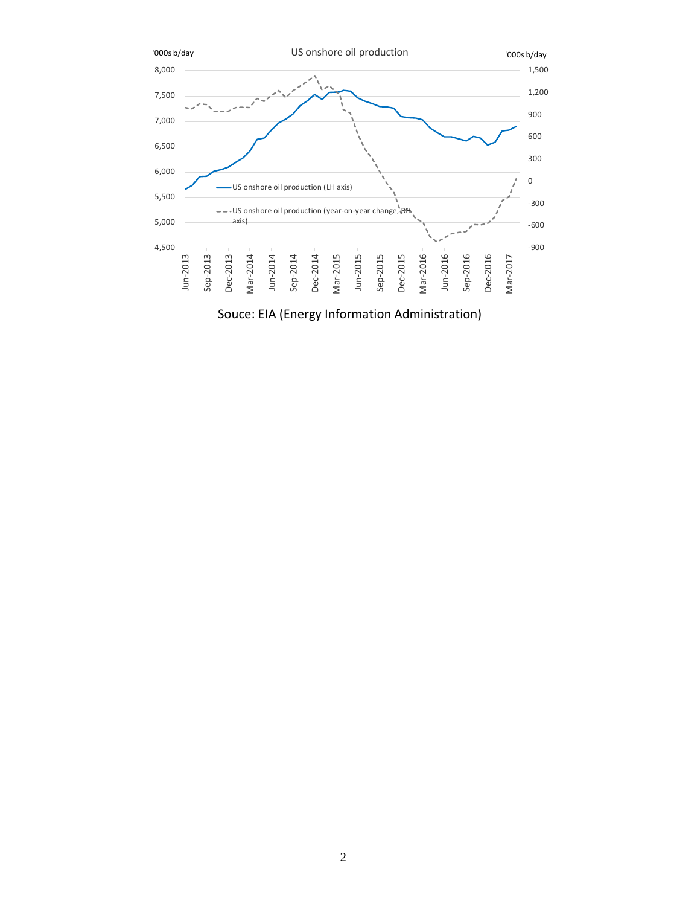

Souce: EIA (Energy Information Administration)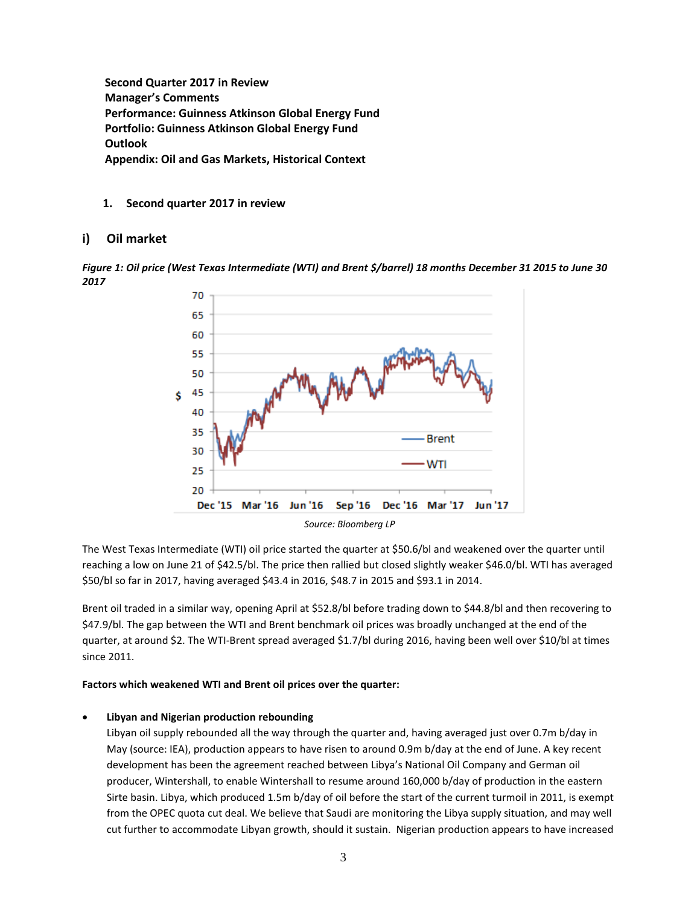**Second Quarter 2017 in Review Manager's Comments Performance: Guinness Atkinson Global Energy Fund Portfolio: Guinness Atkinson Global Energy Fund Outlook Appendix: Oil and Gas Markets, Historical Context**

**1. Second quarter 2017 in review**

# **i) Oil market**

*Figure 1: Oil price (West Texas Intermediate (WTI) and Brent \$/barrel) 18 months December 31 2015 to June 30 2017*



The West Texas Intermediate (WTI) oil price started the quarter at \$50.6/bl and weakened over the quarter until reaching a low on June 21 of \$42.5/bl. The price then rallied but closed slightly weaker \$46.0/bl. WTI has averaged \$50/bl so far in 2017, having averaged \$43.4 in 2016, \$48.7 in 2015 and \$93.1 in 2014.

Brent oil traded in a similar way, opening April at \$52.8/bl before trading down to \$44.8/bl and then recovering to \$47.9/bl. The gap between the WTI and Brent benchmark oil prices was broadly unchanged at the end of the quarter, at around \$2. The WTI-Brent spread averaged \$1.7/bl during 2016, having been well over \$10/bl at times since 2011.

#### **Factors which weakened WTI and Brent oil prices over the quarter:**

#### • **Libyan and Nigerian production rebounding**

Libyan oil supply rebounded all the way through the quarter and, having averaged just over 0.7m b/day in May (source: IEA), production appears to have risen to around 0.9m b/day at the end of June. A key recent development has been the agreement reached between Libya's National Oil Company and German oil producer, Wintershall, to enable Wintershall to resume around 160,000 b/day of production in the eastern Sirte basin. Libya, which produced 1.5m b/day of oil before the start of the current turmoil in 2011, is exempt from the OPEC quota cut deal. We believe that Saudi are monitoring the Libya supply situation, and may well cut further to accommodate Libyan growth, should it sustain. Nigerian production appears to have increased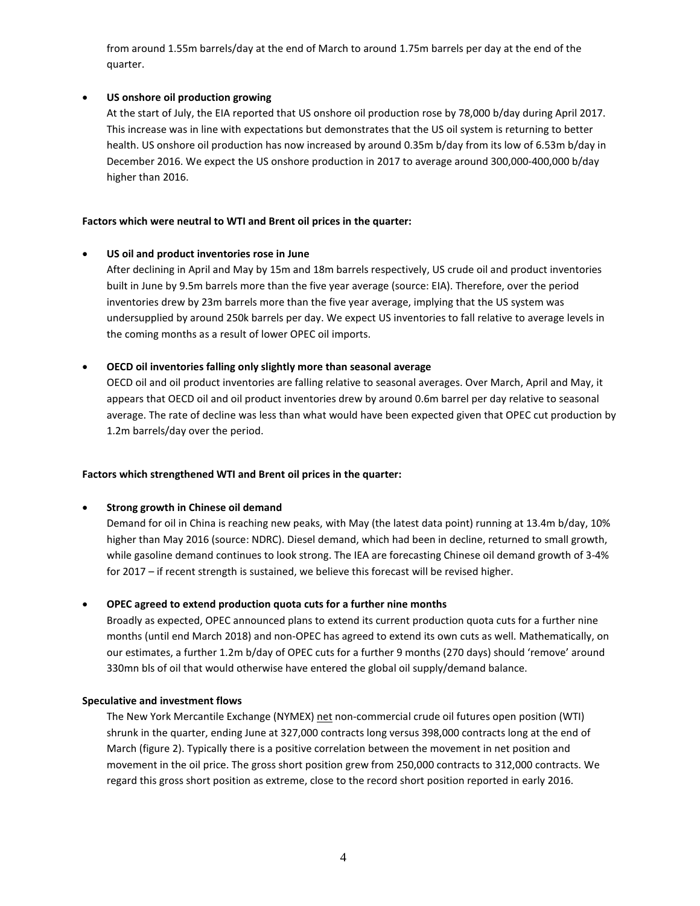from around 1.55m barrels/day at the end of March to around 1.75m barrels per day at the end of the quarter.

## • **US onshore oil production growing**

At the start of July, the EIA reported that US onshore oil production rose by 78,000 b/day during April 2017. This increase was in line with expectations but demonstrates that the US oil system is returning to better health. US onshore oil production has now increased by around 0.35m b/day from its low of 6.53m b/day in December 2016. We expect the US onshore production in 2017 to average around 300,000-400,000 b/day higher than 2016.

## **Factors which were neutral to WTI and Brent oil prices in the quarter:**

## • **US oil and product inventories rose in June**

After declining in April and May by 15m and 18m barrels respectively, US crude oil and product inventories built in June by 9.5m barrels more than the five year average (source: EIA). Therefore, over the period inventories drew by 23m barrels more than the five year average, implying that the US system was undersupplied by around 250k barrels per day. We expect US inventories to fall relative to average levels in the coming months as a result of lower OPEC oil imports.

## • **OECD oil inventories falling only slightly more than seasonal average**

OECD oil and oil product inventories are falling relative to seasonal averages. Over March, April and May, it appears that OECD oil and oil product inventories drew by around 0.6m barrel per day relative to seasonal average. The rate of decline was less than what would have been expected given that OPEC cut production by 1.2m barrels/day over the period.

# **Factors which strengthened WTI and Brent oil prices in the quarter:**

# • **Strong growth in Chinese oil demand**

Demand for oil in China is reaching new peaks, with May (the latest data point) running at 13.4m b/day, 10% higher than May 2016 (source: NDRC). Diesel demand, which had been in decline, returned to small growth, while gasoline demand continues to look strong. The IEA are forecasting Chinese oil demand growth of 3-4% for 2017 – if recent strength is sustained, we believe this forecast will be revised higher.

# • **OPEC agreed to extend production quota cuts for a further nine months**

Broadly as expected, OPEC announced plans to extend its current production quota cuts for a further nine months (until end March 2018) and non-OPEC has agreed to extend its own cuts as well. Mathematically, on our estimates, a further 1.2m b/day of OPEC cuts for a further 9 months (270 days) should 'remove' around 330mn bls of oil that would otherwise have entered the global oil supply/demand balance.

#### **Speculative and investment flows**

The New York Mercantile Exchange (NYMEX) net non-commercial crude oil futures open position (WTI) shrunk in the quarter, ending June at 327,000 contracts long versus 398,000 contracts long at the end of March (figure 2). Typically there is a positive correlation between the movement in net position and movement in the oil price. The gross short position grew from 250,000 contracts to 312,000 contracts. We regard this gross short position as extreme, close to the record short position reported in early 2016.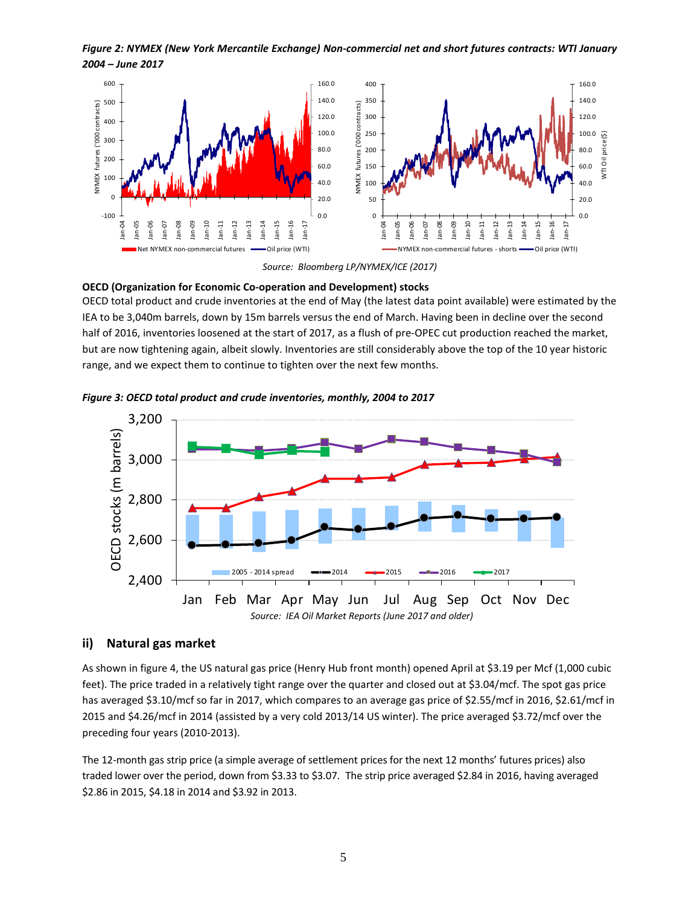*Figure 2: NYMEX (New York Mercantile Exchange) Non-commercial net and short futures contracts: WTI January 2004 – June 2017*



*Source: Bloomberg LP/NYMEX/ICE (2017)*

#### **OECD (Organization for Economic Co-operation and Development) stocks**

OECD total product and crude inventories at the end of May (the latest data point available) were estimated by the IEA to be 3,040m barrels, down by 15m barrels versus the end of March. Having been in decline over the second half of 2016, inventories loosened at the start of 2017, as a flush of pre-OPEC cut production reached the market, but are now tightening again, albeit slowly. Inventories are still considerably above the top of the 10 year historic range, and we expect them to continue to tighten over the next few months.





**ii) Natural gas market** 

As shown in figure 4, the US natural gas price (Henry Hub front month) opened April at \$3.19 per Mcf (1,000 cubic feet). The price traded in a relatively tight range over the quarter and closed out at \$3.04/mcf. The spot gas price has averaged \$3.10/mcf so far in 2017, which compares to an average gas price of \$2.55/mcf in 2016, \$2.61/mcf in 2015 and \$4.26/mcf in 2014 (assisted by a very cold 2013/14 US winter). The price averaged \$3.72/mcf over the preceding four years (2010-2013).

The 12-month gas strip price (a simple average of settlement prices for the next 12 months' futures prices) also traded lower over the period, down from \$3.33 to \$3.07. The strip price averaged \$2.84 in 2016, having averaged \$2.86 in 2015, \$4.18 in 2014 and \$3.92 in 2013.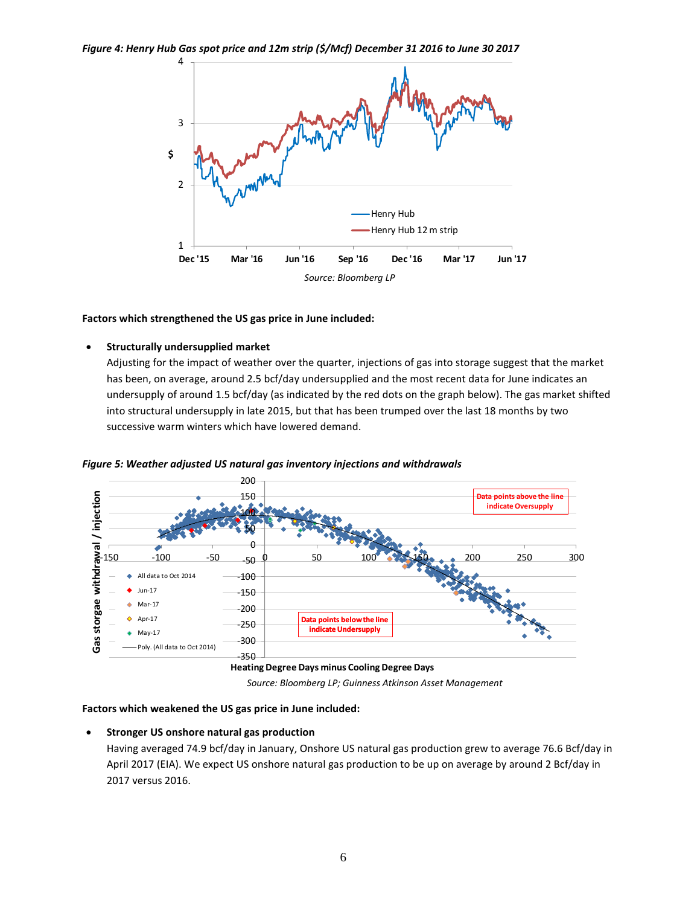

#### **Factors which strengthened the US gas price in June included:**

#### • **Structurally undersupplied market**

Adjusting for the impact of weather over the quarter, injections of gas into storage suggest that the market has been, on average, around 2.5 bcf/day undersupplied and the most recent data for June indicates an undersupply of around 1.5 bcf/day (as indicated by the red dots on the graph below). The gas market shifted into structural undersupply in late 2015, but that has been trumped over the last 18 months by two successive warm winters which have lowered demand.



*Figure 5: Weather adjusted US natural gas inventory injections and withdrawals*

*Source: Bloomberg LP; Guinness Atkinson Asset Management*

#### **Factors which weakened the US gas price in June included:**

#### • **Stronger US onshore natural gas production**

Having averaged 74.9 bcf/day in January, Onshore US natural gas production grew to average 76.6 Bcf/day in April 2017 (EIA). We expect US onshore natural gas production to be up on average by around 2 Bcf/day in 2017 versus 2016.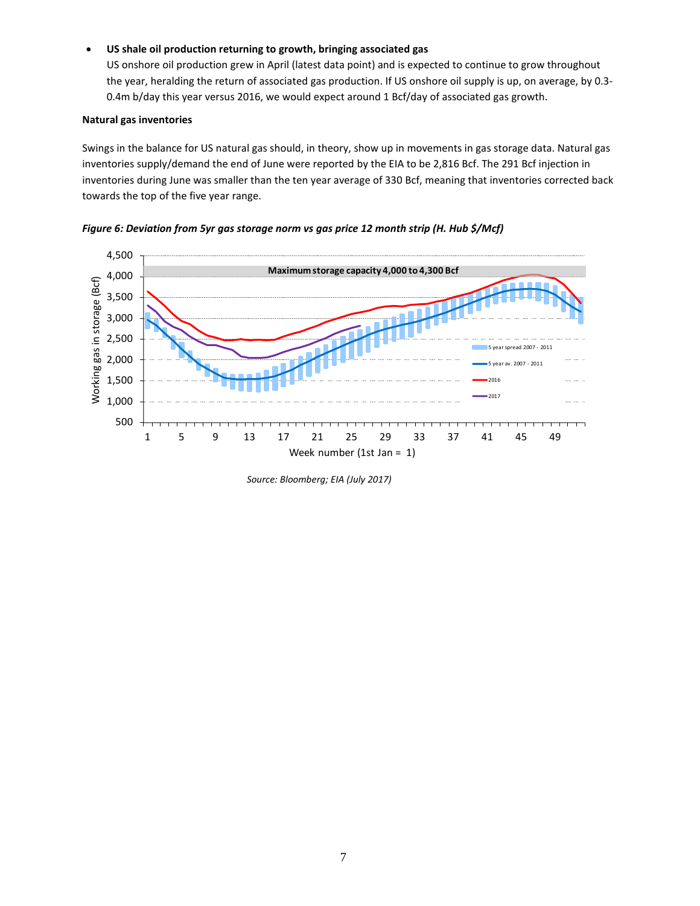#### • **US shale oil production returning to growth, bringing associated gas**

US onshore oil production grew in April (latest data point) and is expected to continue to grow throughout the year, heralding the return of associated gas production. If US onshore oil supply is up, on average, by 0.3- 0.4m b/day this year versus 2016, we would expect around 1 Bcf/day of associated gas growth.

#### **Natural gas inventories**

Swings in the balance for US natural gas should, in theory, show up in movements in gas storage data. Natural gas inventories supply/demand the end of June were reported by the EIA to be 2,816 Bcf. The 291 Bcf injection in inventories during June was smaller than the ten year average of 330 Bcf, meaning that inventories corrected back towards the top of the five year range.





*Source: Bloomberg; EIA (July 2017)*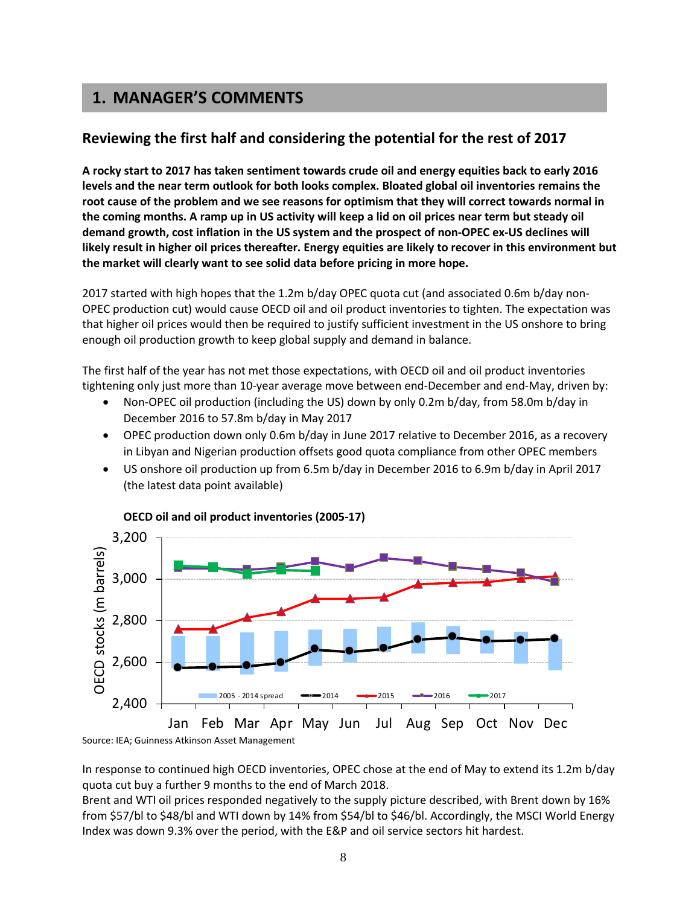# **1. MANAGER'S COMMENTS**

# **Reviewing the first half and considering the potential for the rest of 2017**

**A rocky start to 2017 has taken sentiment towards crude oil and energy equities back to early 2016 levels and the near term outlook for both looks complex. Bloated global oil inventories remains the root cause of the problem and we see reasons for optimism that they will correct towards normal in the coming months. A ramp up in US activity will keep a lid on oil prices near term but steady oil demand growth, cost inflation in the US system and the prospect of non-OPEC ex-US declines will likely result in higher oil prices thereafter. Energy equities are likely to recover in this environment but the market will clearly want to see solid data before pricing in more hope.**

2017 started with high hopes that the 1.2m b/day OPEC quota cut (and associated 0.6m b/day non-OPEC production cut) would cause OECD oil and oil product inventories to tighten. The expectation was that higher oil prices would then be required to justify sufficient investment in the US onshore to bring enough oil production growth to keep global supply and demand in balance.

The first half of the year has not met those expectations, with OECD oil and oil product inventories tightening only just more than 10-year average move between end-December and end-May, driven by:

- Non-OPEC oil production (including the US) down by only 0.2m b/day, from 58.0m b/day in December 2016 to 57.8m b/day in May 2017
- OPEC production down only 0.6m b/day in June 2017 relative to December 2016, as a recovery in Libyan and Nigerian production offsets good quota compliance from other OPEC members
- US onshore oil production up from 6.5m b/day in December 2016 to 6.9m b/day in April 2017 (the latest data point available)



**OECD oil and oil product inventories (2005-17)**

In response to continued high OECD inventories, OPEC chose at the end of May to extend its 1.2m b/day quota cut buy a further 9 months to the end of March 2018.

Brent and WTI oil prices responded negatively to the supply picture described, with Brent down by 16% from \$57/bl to \$48/bl and WTI down by 14% from \$54/bl to \$46/bl. Accordingly, the MSCI World Energy Index was down 9.3% over the period, with the E&P and oil service sectors hit hardest.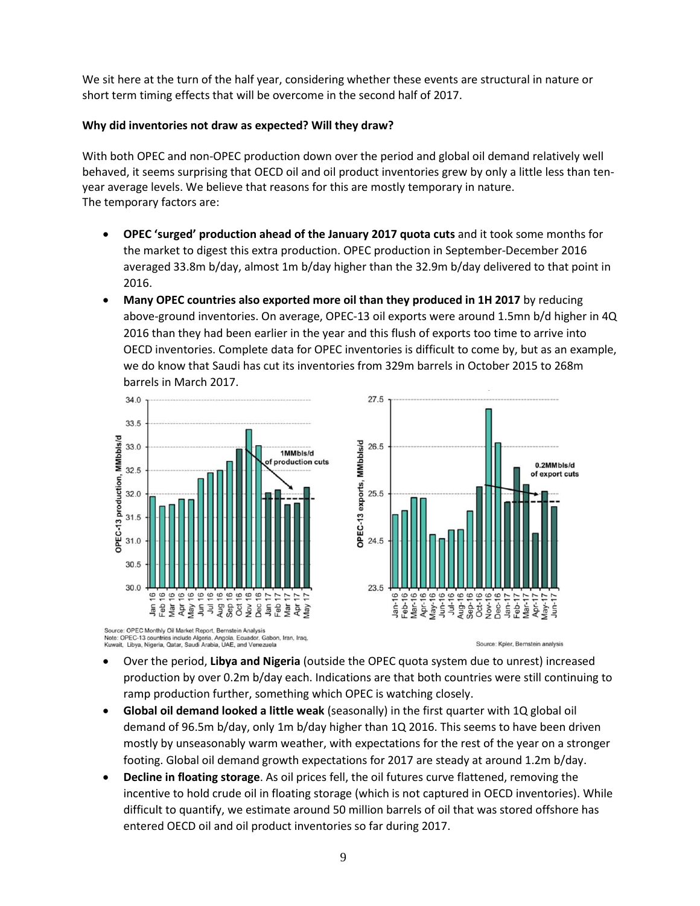We sit here at the turn of the half year, considering whether these events are structural in nature or short term timing effects that will be overcome in the second half of 2017.

# **Why did inventories not draw as expected? Will they draw?**

With both OPEC and non-OPEC production down over the period and global oil demand relatively well behaved, it seems surprising that OECD oil and oil product inventories grew by only a little less than tenyear average levels. We believe that reasons for this are mostly temporary in nature. The temporary factors are:

- **OPEC 'surged' production ahead of the January 2017 quota cuts** and it took some months for the market to digest this extra production. OPEC production in September-December 2016 averaged 33.8m b/day, almost 1m b/day higher than the 32.9m b/day delivered to that point in 2016.
- **Many OPEC countries also exported more oil than they produced in 1H 2017** by reducing above-ground inventories. On average, OPEC-13 oil exports were around 1.5mn b/d higher in 4Q 2016 than they had been earlier in the year and this flush of exports too time to arrive into OECD inventories. Complete data for OPEC inventories is difficult to come by, but as an example, we do know that Saudi has cut its inventories from 329m barrels in October 2015 to 268m barrels in March 2017.

 $27.5$ 



Source: OPEC Monthly Oil Market Report, Bernstein Analysis<br>Note: OPEC-13 countries include Algeria, Angola, Ecuador, Gabon, Iran, Iraq,<br>Kuwait, Libya, Nigeria, Qatar, Saudi Arabia, UAE, and Venezuela

OPEC-13 exports, MMbbls/d 26.5 0.2MMbls/d of export cuts  $25.5$ 24.5 23.5  $0000$  $\circ$ 

Source: Kpler, Bernstein analysis

- Over the period, **Libya and Nigeria** (outside the OPEC quota system due to unrest) increased production by over 0.2m b/day each. Indications are that both countries were still continuing to ramp production further, something which OPEC is watching closely.
- **Global oil demand looked a little weak** (seasonally) in the first quarter with 1Q global oil demand of 96.5m b/day, only 1m b/day higher than 1Q 2016. This seems to have been driven mostly by unseasonably warm weather, with expectations for the rest of the year on a stronger footing. Global oil demand growth expectations for 2017 are steady at around 1.2m b/day.
- **Decline in floating storage**. As oil prices fell, the oil futures curve flattened, removing the incentive to hold crude oil in floating storage (which is not captured in OECD inventories). While difficult to quantify, we estimate around 50 million barrels of oil that was stored offshore has entered OECD oil and oil product inventories so far during 2017.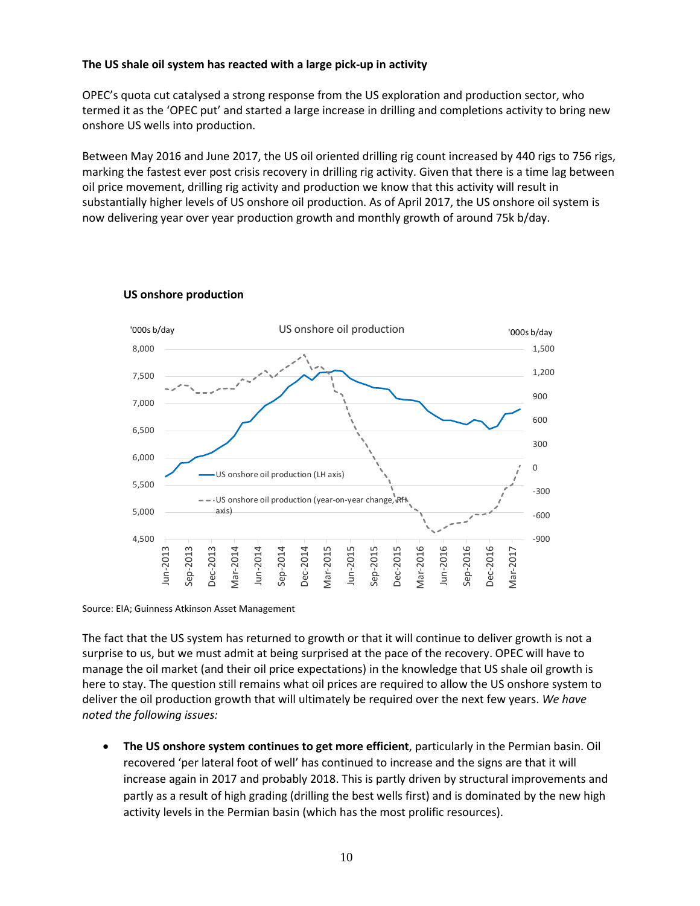# **The US shale oil system has reacted with a large pick-up in activity**

OPEC's quota cut catalysed a strong response from the US exploration and production sector, who termed it as the 'OPEC put' and started a large increase in drilling and completions activity to bring new onshore US wells into production.

Between May 2016 and June 2017, the US oil oriented drilling rig count increased by 440 rigs to 756 rigs, marking the fastest ever post crisis recovery in drilling rig activity. Given that there is a time lag between oil price movement, drilling rig activity and production we know that this activity will result in substantially higher levels of US onshore oil production. As of April 2017, the US onshore oil system is now delivering year over year production growth and monthly growth of around 75k b/day.



# **US onshore production**

Source: EIA; Guinness Atkinson Asset Management

The fact that the US system has returned to growth or that it will continue to deliver growth is not a surprise to us, but we must admit at being surprised at the pace of the recovery. OPEC will have to manage the oil market (and their oil price expectations) in the knowledge that US shale oil growth is here to stay. The question still remains what oil prices are required to allow the US onshore system to deliver the oil production growth that will ultimately be required over the next few years. *We have noted the following issues:*

• **The US onshore system continues to get more efficient**, particularly in the Permian basin. Oil recovered 'per lateral foot of well' has continued to increase and the signs are that it will increase again in 2017 and probably 2018. This is partly driven by structural improvements and partly as a result of high grading (drilling the best wells first) and is dominated by the new high activity levels in the Permian basin (which has the most prolific resources).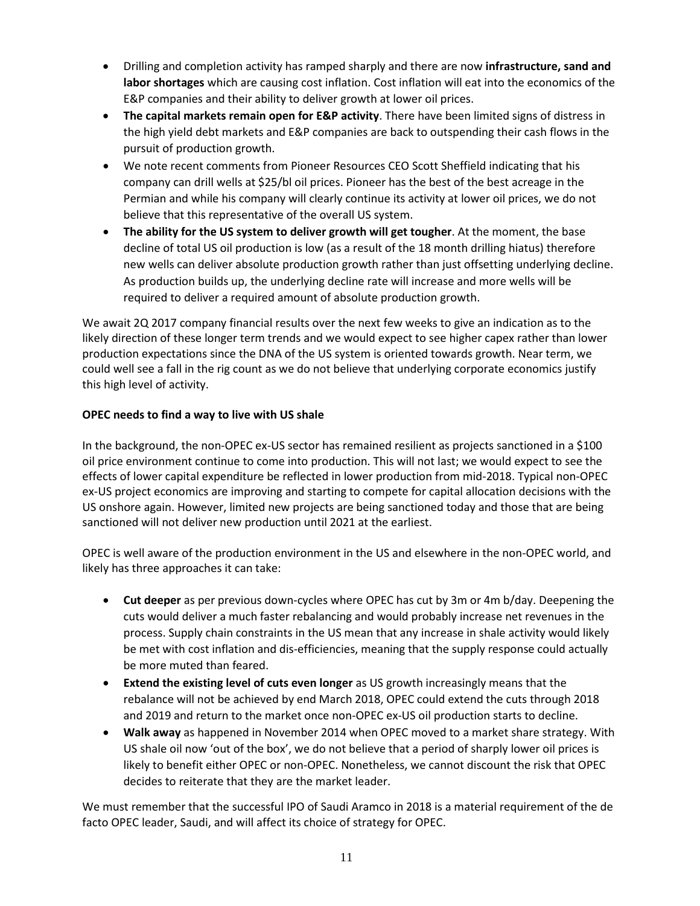- Drilling and completion activity has ramped sharply and there are now **infrastructure, sand and labor shortages** which are causing cost inflation. Cost inflation will eat into the economics of the E&P companies and their ability to deliver growth at lower oil prices.
- **The capital markets remain open for E&P activity**. There have been limited signs of distress in the high yield debt markets and E&P companies are back to outspending their cash flows in the pursuit of production growth.
- We note recent comments from Pioneer Resources CEO Scott Sheffield indicating that his company can drill wells at \$25/bl oil prices. Pioneer has the best of the best acreage in the Permian and while his company will clearly continue its activity at lower oil prices, we do not believe that this representative of the overall US system.
- **The ability for the US system to deliver growth will get tougher**. At the moment, the base decline of total US oil production is low (as a result of the 18 month drilling hiatus) therefore new wells can deliver absolute production growth rather than just offsetting underlying decline. As production builds up, the underlying decline rate will increase and more wells will be required to deliver a required amount of absolute production growth.

We await 2Q 2017 company financial results over the next few weeks to give an indication as to the likely direction of these longer term trends and we would expect to see higher capex rather than lower production expectations since the DNA of the US system is oriented towards growth. Near term, we could well see a fall in the rig count as we do not believe that underlying corporate economics justify this high level of activity.

# **OPEC needs to find a way to live with US shale**

In the background, the non-OPEC ex-US sector has remained resilient as projects sanctioned in a \$100 oil price environment continue to come into production. This will not last; we would expect to see the effects of lower capital expenditure be reflected in lower production from mid-2018. Typical non-OPEC ex-US project economics are improving and starting to compete for capital allocation decisions with the US onshore again. However, limited new projects are being sanctioned today and those that are being sanctioned will not deliver new production until 2021 at the earliest.

OPEC is well aware of the production environment in the US and elsewhere in the non-OPEC world, and likely has three approaches it can take:

- **Cut deeper** as per previous down-cycles where OPEC has cut by 3m or 4m b/day. Deepening the cuts would deliver a much faster rebalancing and would probably increase net revenues in the process. Supply chain constraints in the US mean that any increase in shale activity would likely be met with cost inflation and dis-efficiencies, meaning that the supply response could actually be more muted than feared.
- **Extend the existing level of cuts even longer** as US growth increasingly means that the rebalance will not be achieved by end March 2018, OPEC could extend the cuts through 2018 and 2019 and return to the market once non-OPEC ex-US oil production starts to decline.
- **Walk away** as happened in November 2014 when OPEC moved to a market share strategy. With US shale oil now 'out of the box', we do not believe that a period of sharply lower oil prices is likely to benefit either OPEC or non-OPEC. Nonetheless, we cannot discount the risk that OPEC decides to reiterate that they are the market leader.

We must remember that the successful IPO of Saudi Aramco in 2018 is a material requirement of the de facto OPEC leader, Saudi, and will affect its choice of strategy for OPEC.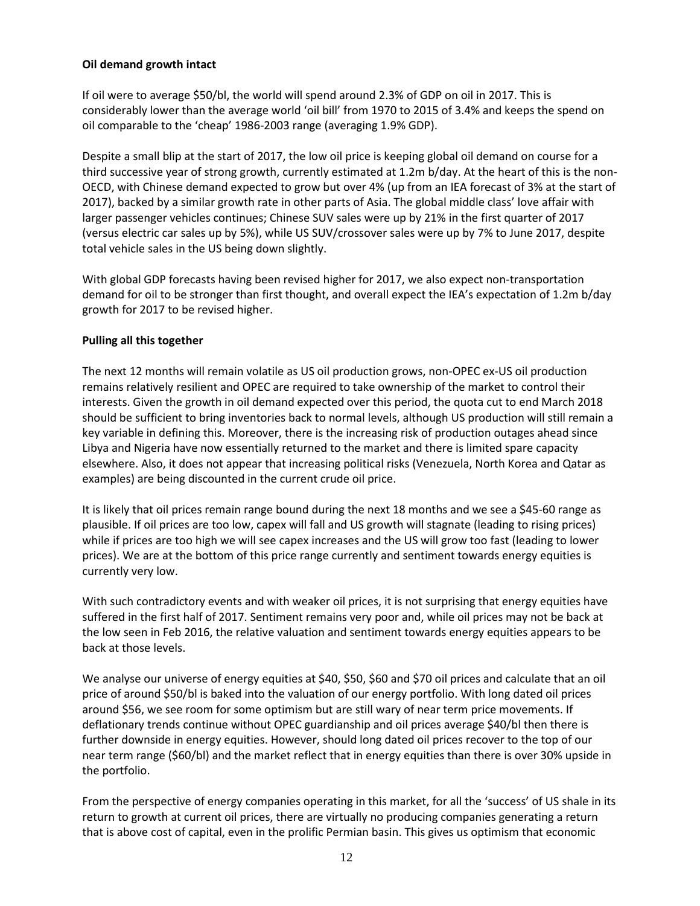# **Oil demand growth intact**

If oil were to average \$50/bl, the world will spend around 2.3% of GDP on oil in 2017. This is considerably lower than the average world 'oil bill' from 1970 to 2015 of 3.4% and keeps the spend on oil comparable to the 'cheap' 1986-2003 range (averaging 1.9% GDP).

Despite a small blip at the start of 2017, the low oil price is keeping global oil demand on course for a third successive year of strong growth, currently estimated at 1.2m b/day. At the heart of this is the non-OECD, with Chinese demand expected to grow but over 4% (up from an IEA forecast of 3% at the start of 2017), backed by a similar growth rate in other parts of Asia. The global middle class' love affair with larger passenger vehicles continues; Chinese SUV sales were up by 21% in the first quarter of 2017 (versus electric car sales up by 5%), while US SUV/crossover sales were up by 7% to June 2017, despite total vehicle sales in the US being down slightly.

With global GDP forecasts having been revised higher for 2017, we also expect non-transportation demand for oil to be stronger than first thought, and overall expect the IEA's expectation of 1.2m b/day growth for 2017 to be revised higher.

# **Pulling all this together**

The next 12 months will remain volatile as US oil production grows, non-OPEC ex-US oil production remains relatively resilient and OPEC are required to take ownership of the market to control their interests. Given the growth in oil demand expected over this period, the quota cut to end March 2018 should be sufficient to bring inventories back to normal levels, although US production will still remain a key variable in defining this. Moreover, there is the increasing risk of production outages ahead since Libya and Nigeria have now essentially returned to the market and there is limited spare capacity elsewhere. Also, it does not appear that increasing political risks (Venezuela, North Korea and Qatar as examples) are being discounted in the current crude oil price.

It is likely that oil prices remain range bound during the next 18 months and we see a \$45-60 range as plausible. If oil prices are too low, capex will fall and US growth will stagnate (leading to rising prices) while if prices are too high we will see capex increases and the US will grow too fast (leading to lower prices). We are at the bottom of this price range currently and sentiment towards energy equities is currently very low.

With such contradictory events and with weaker oil prices, it is not surprising that energy equities have suffered in the first half of 2017. Sentiment remains very poor and, while oil prices may not be back at the low seen in Feb 2016, the relative valuation and sentiment towards energy equities appears to be back at those levels.

We analyse our universe of energy equities at \$40, \$50, \$60 and \$70 oil prices and calculate that an oil price of around \$50/bl is baked into the valuation of our energy portfolio. With long dated oil prices around \$56, we see room for some optimism but are still wary of near term price movements. If deflationary trends continue without OPEC guardianship and oil prices average \$40/bl then there is further downside in energy equities. However, should long dated oil prices recover to the top of our near term range (\$60/bl) and the market reflect that in energy equities than there is over 30% upside in the portfolio.

From the perspective of energy companies operating in this market, for all the 'success' of US shale in its return to growth at current oil prices, there are virtually no producing companies generating a return that is above cost of capital, even in the prolific Permian basin. This gives us optimism that economic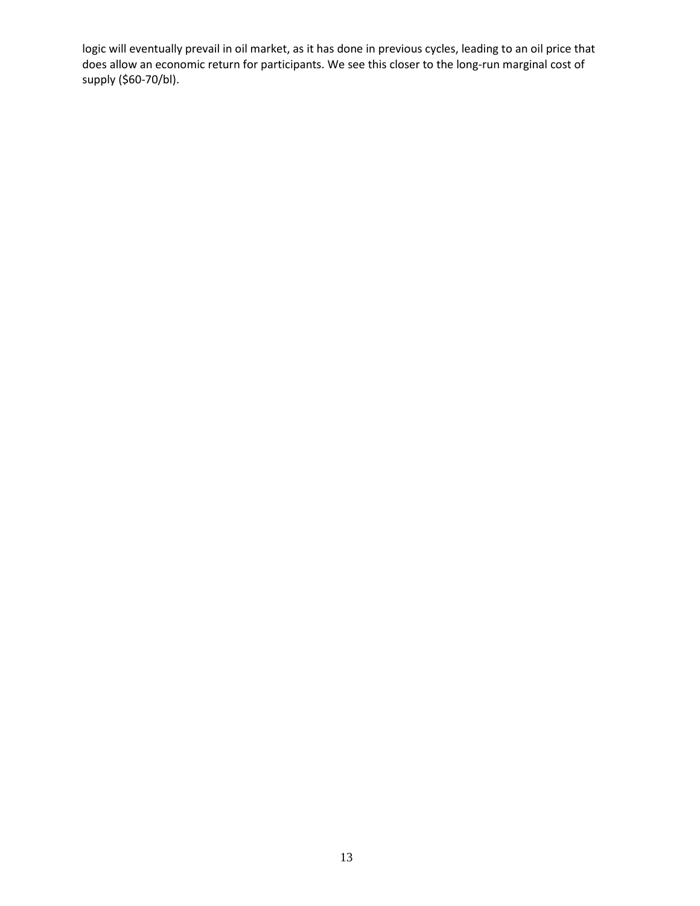logic will eventually prevail in oil market, as it has done in previous cycles, leading to an oil price that does allow an economic return for participants. We see this closer to the long-run marginal cost of supply (\$60-70/bl).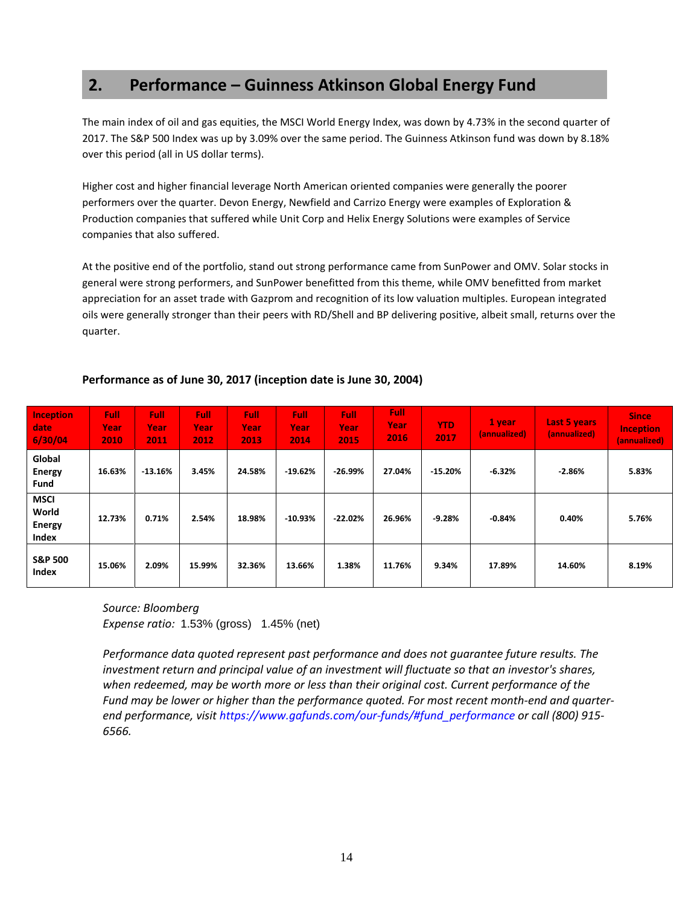# **2. Performance – Guinness Atkinson Global Energy Fund**

The main index of oil and gas equities, the MSCI World Energy Index, was down by 4.73% in the second quarter of 2017. The S&P 500 Index was up by 3.09% over the same period. The Guinness Atkinson fund was down by 8.18% over this period (all in US dollar terms).

Higher cost and higher financial leverage North American oriented companies were generally the poorer performers over the quarter. Devon Energy, Newfield and Carrizo Energy were examples of Exploration & Production companies that suffered while Unit Corp and Helix Energy Solutions were examples of Service companies that also suffered.

At the positive end of the portfolio, stand out strong performance came from SunPower and OMV. Solar stocks in general were strong performers, and SunPower benefitted from this theme, while OMV benefitted from market appreciation for an asset trade with Gazprom and recognition of its low valuation multiples. European integrated oils were generally stronger than their peers with RD/Shell and BP delivering positive, albeit small, returns over the quarter.

| <b>Inception</b><br>date<br>6/30/04            | Full:<br>Year<br>2010 | <b>Full</b><br>Year<br>2011 | <b>Full</b><br>Year<br>2012 | <b>Full</b><br>Year<br>2013 | <b>Full</b><br>Year<br>2014 | <b>Full</b><br>Year<br>2015 | <b>Full</b><br>Year<br>2016 | <b>YTD</b><br>2017 | <b>1</b> year<br>(annualized) | <b>Last 5 years</b><br>(annualized) | <b>Since</b><br><b>Inception</b><br>(annualized) |
|------------------------------------------------|-----------------------|-----------------------------|-----------------------------|-----------------------------|-----------------------------|-----------------------------|-----------------------------|--------------------|-------------------------------|-------------------------------------|--------------------------------------------------|
| Global<br><b>Energy</b><br><b>Fund</b>         | 16.63%                | $-13.16%$                   | 3.45%                       | 24.58%                      | $-19.62%$                   | $-26.99%$                   | 27.04%                      | $-15.20%$          | -6.32%                        | $-2.86%$                            | 5.83%                                            |
| <b>MSCI</b><br>World<br><b>Energy</b><br>Index | 12.73%                | 0.71%                       | 2.54%                       | 18.98%                      | $-10.93%$                   | $-22.02%$                   | 26.96%                      | $-9.28%$           | $-0.84%$                      | 0.40%                               | 5.76%                                            |
| <b>S&amp;P 500</b><br><b>Index</b>             | 15.06%                | 2.09%                       | 15.99%                      | 32.36%                      | 13.66%                      | 1.38%                       | 11.76%                      | 9.34%              | 17.89%                        | 14.60%                              | 8.19%                                            |

# **Performance as of June 30, 2017 (inception date is June 30, 2004)**

*Source: Bloomberg Expense ratio:* 1.53% (gross) 1.45% (net)

*Performance data quoted represent past performance and does not guarantee future results. The investment return and principal value of an investment will fluctuate so that an investor's shares, when redeemed, may be worth more or less than their original cost. Current performance of the Fund may be lower or higher than the performance quoted. For most recent month-end and quarterend performance, visit [https://www.gafunds.com/our-funds/#fund\\_performance](https://www.gafunds.com/our-funds/#fund_performance) or call (800) 915- 6566.*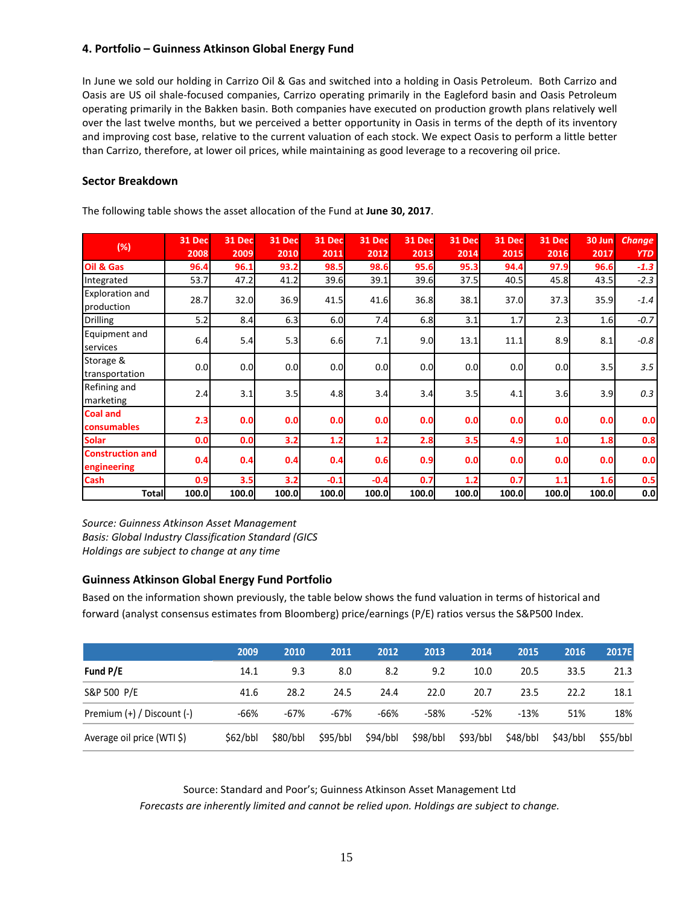# **4. Portfolio – Guinness Atkinson Global Energy Fund**

In June we sold our holding in Carrizo Oil & Gas and switched into a holding in Oasis Petroleum. Both Carrizo and Oasis are US oil shale-focused companies, Carrizo operating primarily in the Eagleford basin and Oasis Petroleum operating primarily in the Bakken basin. Both companies have executed on production growth plans relatively well over the last twelve months, but we perceived a better opportunity in Oasis in terms of the depth of its inventory and improving cost base, relative to the current valuation of each stock. We expect Oasis to perform a little better than Carrizo, therefore, at lower oil prices, while maintaining as good leverage to a recovering oil price.

## **Sector Breakdown**

|                                        | 31 Dec | <b>31 Dec</b> | <b>31 Dec</b> | 31 Dec | <b>31 Dec</b> | 31 Dec | <b>31 Dec</b> | <b>31 Dec</b> | <b>31 Dec</b> | 30 Jun | <b>Change</b> |
|----------------------------------------|--------|---------------|---------------|--------|---------------|--------|---------------|---------------|---------------|--------|---------------|
| (%)                                    | 2008   | 2009          | 2010          | 2011   | 2012          | 2013   | 2014          | 2015          | 2016          | 2017   | <b>YTD</b>    |
| Oil & Gas                              | 96.4   | 96.1          | 93.2          | 98.5   | 98.6          | 95.6   | 95.3          | 94.4          | 97.9          | 96.6   | $-1.3$        |
| Integrated                             | 53.7   | 47.2          | 41.2          | 39.6   | 39.1          | 39.6   | 37.5          | 40.5          | 45.8          | 43.5   | $-2.3$        |
| <b>Exploration and</b><br>production   | 28.7   | 32.0          | 36.9          | 41.5   | 41.6          | 36.8   | 38.1          | 37.0          | 37.3          | 35.9   | $-1.4$        |
| Drilling                               | 5.2    | 8.4           | 6.3           | 6.0    | 7.4           | 6.8    | 3.1           | 1.7           | 2.3           | 1.6    | $-0.7$        |
| Equipment and<br>services              | 6.4    | 5.4           | 5.3           | 6.6    | 7.1           | 9.0    | 13.1          | 11.1          | 8.9           | 8.1    | $-0.8$        |
| Storage &<br>transportation            | 0.0    | 0.0           | 0.0           | 0.0    | 0.0           | 0.0    | 0.0           | 0.0           | 0.0           | 3.5    | 3.5           |
| Refining and<br>marketing              | 2.4    | 3.1           | 3.5           | 4.8    | 3.4           | 3.4    | 3.5           | 4.1           | 3.6           | 3.9    | 0.3           |
| <b>Coal and</b><br>consumables         | 2.3    | 0.0           | 0.0           | 0.0    | 0.0           | 0.0    | 0.0           | 0.0           | 0.0           | 0.0    | 0.0           |
| <b>Solar</b>                           | 0.0    | 0.0           | 3.2           | 1.2    | 1.2           | 2.8    | 3.5           | 4.9           | 1.0           | 1.8    | 0.8           |
| <b>Construction and</b><br>engineering | 0.4    | 0.4           | 0.4           | 0.4    | 0.6           | 0.9    | 0.0           | 0.0           | 0.0           | 0.0    | 0.0           |
| <b>Cash</b>                            | 0.9    | 3.5           | 3.2           | $-0.1$ | $-0.4$        | 0.7    | 1.2           | 0.7           | 1.1           | 1.6    | 0.5           |
| <b>Total</b>                           | 100.0  | 100.0         | 100.0         | 100.0  | 100.0         | 100.0  | 100.0         | 100.0         | 100.0         | 100.0  | 0.0           |

The following table shows the asset allocation of the Fund at **June 30, 2017**.

*Source: Guinness Atkinson Asset Management Basis: Global Industry Classification Standard (GICS Holdings are subject to change at any time*

# **Guinness Atkinson Global Energy Fund Portfolio**

Based on the information shown previously, the table below shows the fund valuation in terms of historical and forward (analyst consensus estimates from Bloomberg) price/earnings (P/E) ratios versus the S&P500 Index.

|                                | 2009     | 2010     | 2011     | 2012     | 2013     | 2014     | 2015     | 2016     | 2017E    |
|--------------------------------|----------|----------|----------|----------|----------|----------|----------|----------|----------|
| Fund P/E                       | 14.1     | 9.3      | 8.0      | 8.2      | 9.2      | 10.0     | 20.5     | 33.5     | 21.3     |
| S&P 500 P/E                    | 41.6     | 28.2     | 24.5     | 24.4     | 22.0     | 20.7     | 23.5     | 22.2     | 18.1     |
| Premium $(+)$ / Discount $(-)$ | -66%     | $-67%$   | $-67%$   | -66%     | -58%     | $-52%$   | $-13%$   | 51%      | 18%      |
| Average oil price (WTI \$)     | \$62/bbl | \$80/bbl | \$95/bbl | \$94/bbl | \$98/bbl | \$93/bbl | \$48/bbl | \$43/bbl | \$55/bbl |

Source: Standard and Poor's; Guinness Atkinson Asset Management Ltd

*Forecasts are inherently limited and cannot be relied upon. Holdings are subject to change.*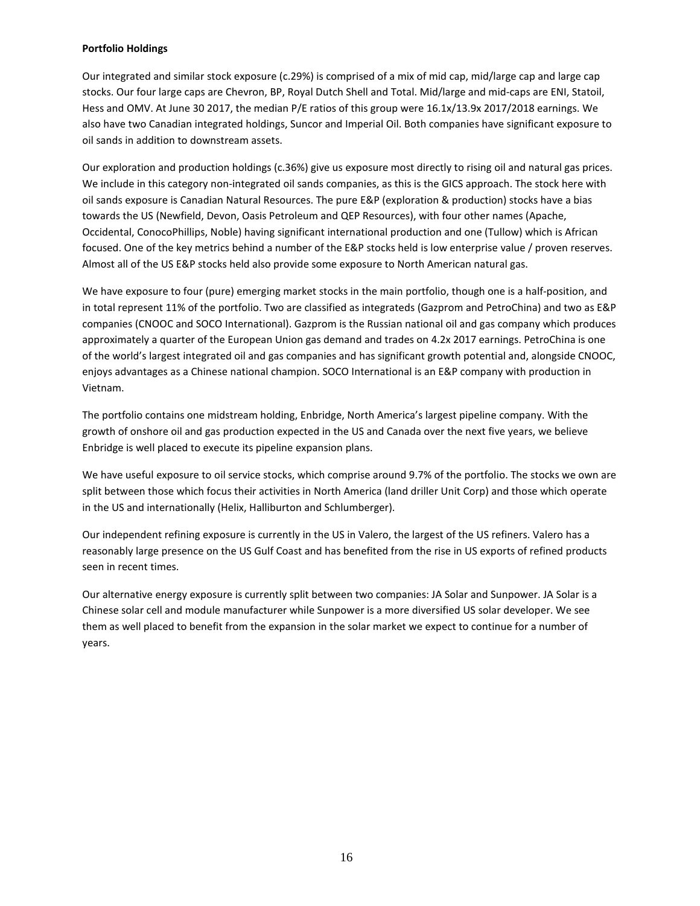#### **Portfolio Holdings**

Our integrated and similar stock exposure (c.29%) is comprised of a mix of mid cap, mid/large cap and large cap stocks. Our four large caps are Chevron, BP, Royal Dutch Shell and Total. Mid/large and mid-caps are ENI, Statoil, Hess and OMV. At June 30 2017, the median P/E ratios of this group were 16.1x/13.9x 2017/2018 earnings. We also have two Canadian integrated holdings, Suncor and Imperial Oil. Both companies have significant exposure to oil sands in addition to downstream assets.

Our exploration and production holdings (c.36%) give us exposure most directly to rising oil and natural gas prices. We include in this category non-integrated oil sands companies, as this is the GICS approach. The stock here with oil sands exposure is Canadian Natural Resources. The pure E&P (exploration & production) stocks have a bias towards the US (Newfield, Devon, Oasis Petroleum and QEP Resources), with four other names (Apache, Occidental, ConocoPhillips, Noble) having significant international production and one (Tullow) which is African focused. One of the key metrics behind a number of the E&P stocks held is low enterprise value / proven reserves. Almost all of the US E&P stocks held also provide some exposure to North American natural gas.

We have exposure to four (pure) emerging market stocks in the main portfolio, though one is a half-position, and in total represent 11% of the portfolio. Two are classified as integrateds (Gazprom and PetroChina) and two as E&P companies (CNOOC and SOCO International). Gazprom is the Russian national oil and gas company which produces approximately a quarter of the European Union gas demand and trades on 4.2x 2017 earnings. PetroChina is one of the world's largest integrated oil and gas companies and has significant growth potential and, alongside CNOOC, enjoys advantages as a Chinese national champion. SOCO International is an E&P company with production in Vietnam.

The portfolio contains one midstream holding, Enbridge, North America's largest pipeline company. With the growth of onshore oil and gas production expected in the US and Canada over the next five years, we believe Enbridge is well placed to execute its pipeline expansion plans.

We have useful exposure to oil service stocks, which comprise around 9.7% of the portfolio. The stocks we own are split between those which focus their activities in North America (land driller Unit Corp) and those which operate in the US and internationally (Helix, Halliburton and Schlumberger).

Our independent refining exposure is currently in the US in Valero, the largest of the US refiners. Valero has a reasonably large presence on the US Gulf Coast and has benefited from the rise in US exports of refined products seen in recent times.

Our alternative energy exposure is currently split between two companies: JA Solar and Sunpower. JA Solar is a Chinese solar cell and module manufacturer while Sunpower is a more diversified US solar developer. We see them as well placed to benefit from the expansion in the solar market we expect to continue for a number of years.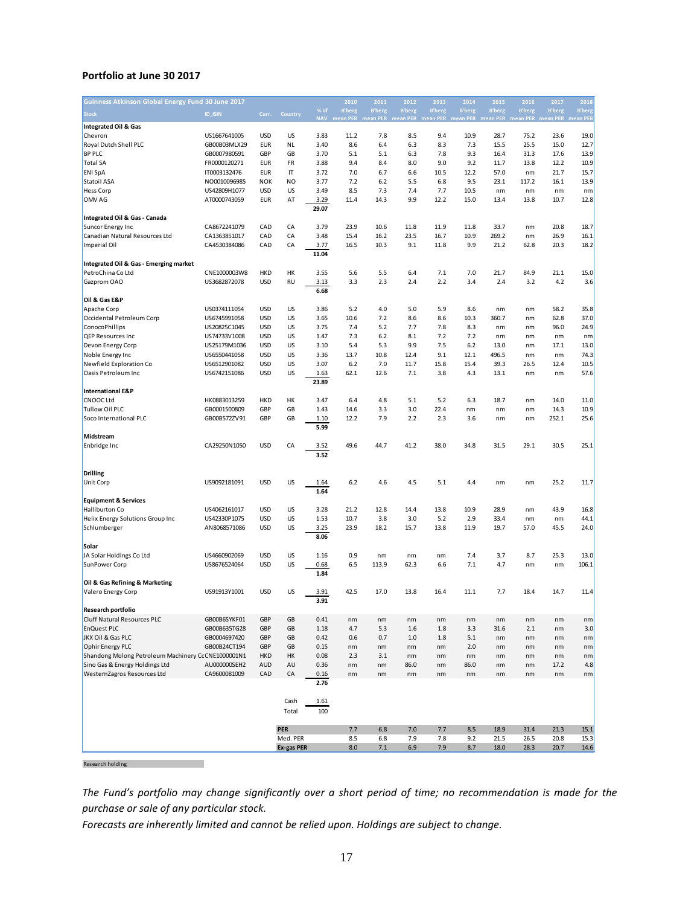#### **Portfolio at June 30 2017**

| Guinness Atkinson Global Energy Fund 30 June 2017   |                |            |                |       | 2010          | 2011          | 2012          | 2013           | 2014          | 2015                                                                                 | 2016          | 2017          | 2018          |
|-----------------------------------------------------|----------------|------------|----------------|-------|---------------|---------------|---------------|----------------|---------------|--------------------------------------------------------------------------------------|---------------|---------------|---------------|
| <b>Stock</b>                                        | <b>ID_ISIN</b> | Curr.      | Country        | % of  | <b>B'berg</b> | <b>B'berg</b> | <b>B'berg</b> | <b>B</b> 'berg | <b>B'berg</b> | <b>B'berg</b>                                                                        | <b>B'berg</b> | <b>B'berg</b> | <b>B'berg</b> |
| <b>Integrated Oil &amp; Gas</b>                     |                |            |                |       |               |               |               |                |               | NAV mean PER mean PER mean PER mean PER mean PER mean PER mean PER mean PER mean PEF |               |               |               |
| Chevron                                             | US1667641005   | <b>USD</b> | US             | 3.83  | 11.2          | 7.8           | 8.5           | 9.4            | 10.9          | 28.7                                                                                 | 75.2          | 23.6          | 19.0          |
| Royal Dutch Shell PLC                               | GB00B03MLX29   | <b>EUR</b> | <b>NL</b>      | 3.40  | 8.6           | 6.4           | 6.3           | 8.3            | 7.3           | 15.5                                                                                 | 25.5          | 15.0          | 12.7          |
| <b>BP PLC</b>                                       | GB0007980591   | GBP        | GB             | 3.70  | 5.1           | 5.1           | 6.3           | 7.8            | 9.3           | 16.4                                                                                 | 31.3          | 17.6          | 13.9          |
| <b>Total SA</b>                                     | FR0000120271   | <b>EUR</b> | FR             | 3.88  | 9.4           | 8.4           | 8.0           | 9.0            | 9.2           | 11.7                                                                                 | 13.8          | 12.2          | 10.9          |
| <b>ENI SpA</b>                                      | IT0003132476   | <b>EUR</b> | IT             | 3.72  | 7.0           | 6.7           | 6.6           | 10.5           | 12.2          | 57.0                                                                                 | nm            | 21.7          | 15.7          |
| Statoil ASA                                         | NO0010096985   | <b>NOK</b> | N <sub>O</sub> | 3.77  | 7.2           | 6.2           | 5.5           | 6.8            | 9.5           | 23.1                                                                                 | 117.2         | 16.1          | 13.9          |
| <b>Hess Corp</b>                                    | US42809H1077   | <b>USD</b> | US             | 3.49  | 8.5           | 7.3           | 7.4           | 7.7            | 10.5          | nm                                                                                   | nm            | nm            | nm            |
| OMV AG                                              | AT0000743059   | <b>EUR</b> | AT             | 3.29  | 11.4          | 14.3          | 9.9           | 12.2           | 15.0          | 13.4                                                                                 | 13.8          | 10.7          | 12.8          |
|                                                     |                |            |                | 29.07 |               |               |               |                |               |                                                                                      |               |               |               |
| Integrated Oil & Gas - Canada                       |                |            |                |       |               |               |               |                |               |                                                                                      |               |               |               |
| Suncor Energy Inc                                   | CA8672241079   | CAD        | CA             | 3.79  | 23.9          | 10.6          | 11.8          | 11.9           | 11.8          | 33.7                                                                                 | nm            | 20.8          | 18.7          |
| Canadian Natural Resources Ltd                      | CA1363851017   | CAD        | CA             | 3.48  | 15.4          | 16.2          | 23.5          | 16.7           | 10.9          | 269.2                                                                                | nm            | 26.9          | 16.1          |
| Imperial Oil                                        | CA4530384086   | CAD        | CA             | 3.77  | 16.5          | 10.3          | 9.1           | 11.8           | 9.9           | 21.2                                                                                 | 62.8          | 20.3          | 18.2          |
|                                                     |                |            |                | 11.04 |               |               |               |                |               |                                                                                      |               |               |               |
| Integrated Oil & Gas - Emerging market              |                |            |                |       |               |               |               |                |               |                                                                                      |               |               |               |
| PetroChina Co Ltd                                   | CNE1000003W8   | <b>HKD</b> | HK             | 3.55  | 5.6           | 5.5           | 6.4           | 7.1            | 7.0           | 21.7                                                                                 | 84.9          | 21.1          | 15.0          |
| Gazprom OAO                                         | US3682872078   | <b>USD</b> | RU             | 3.13  | 3.3           | 2.3           | 2.4           | 2.2            | 3.4           | 2.4                                                                                  | 3.2           | 4.2           | 3.6           |
|                                                     |                |            |                | 6.68  |               |               |               |                |               |                                                                                      |               |               |               |
| Oil & Gas E&P                                       |                |            |                |       |               |               |               |                |               |                                                                                      |               |               |               |
| Apache Corp                                         | US0374111054   | <b>USD</b> | US             | 3.86  | 5.2           | 4.0           | 5.0           | 5.9            | 8.6           | nm                                                                                   | nm            | 58.2          | 35.8          |
| Occidental Petroleum Corp                           | US6745991058   | <b>USD</b> | US             | 3.65  | 10.6          | 7.2           | 8.6           | 8.6            | 10.3          | 360.7                                                                                | nm            | 62.8          | 37.0          |
| ConocoPhillips                                      | US20825C1045   | <b>USD</b> | US             | 3.75  | 7.4           | 5.2           | 7.7           | 7.8            | 8.3           | nm                                                                                   | nm            | 96.0          | 24.9          |
| QEP Resources Inc                                   | US74733V1008   | <b>USD</b> | US             | 1.47  | 7.3           | 6.2           | 8.1           | 7.2            | 7.2           | nm                                                                                   | nm            | nm            | nm            |
| Devon Energy Corp                                   | US25179M1036   | <b>USD</b> | US             | 3.10  | 5.4           | 5.3           | 9.9           | 7.5            | 6.2           | 13.0                                                                                 | nm            | 17.1          | 13.0          |
| Noble Energy Inc                                    | US6550441058   | <b>USD</b> | US             | 3.36  | 13.7          | 10.8          | 12.4          | 9.1            | 12.1          | 496.5                                                                                | nm            | nm            | 74.3          |
| Newfield Exploration Co                             | US6512901082   | <b>USD</b> | US             | 3.07  | 6.2           | 7.0           | 11.7          | 15.8           | 15.4          | 39.3                                                                                 | 26.5          | 12.4          | 10.5          |
| Oasis Petroleum Inc                                 | US6742151086   | <b>USD</b> | US             | 1.63  | 62.1          | 12.6          | 7.1           | 3.8            | 4.3           | 13.1                                                                                 | nm            | nm            | 57.6          |
|                                                     |                |            |                | 23.89 |               |               |               |                |               |                                                                                      |               |               |               |
| <b>International E&amp;P</b>                        |                |            |                |       |               |               |               |                |               |                                                                                      |               |               |               |
| <b>CNOOC Ltd</b>                                    | HK0883013259   | <b>HKD</b> | HK             | 3.47  | 6.4           | 4.8           | 5.1           | 5.2            | 6.3           | 18.7                                                                                 | nm            | 14.0          | 11.0          |
| Tullow Oil PLC                                      | GB0001500809   | GBP        | GB             | 1.43  | 14.6          | 3.3           | 3.0           | 22.4           | nm            | nm                                                                                   | nm            | 14.3          | 10.9          |
| Soco International PLC                              | GB00B572ZV91   | GBP        | GB             | 1.10  | 12.2          | 7.9           | 2.2           | 2.3            | 3.6           | nm                                                                                   | nm            | 252.1         | 25.6          |
|                                                     |                |            |                | 5.99  |               |               |               |                |               |                                                                                      |               |               |               |
| Midstream                                           |                |            |                |       |               |               |               |                |               |                                                                                      |               |               |               |
| Enbridge Inc                                        | CA29250N1050   | <b>USD</b> | CA             | 3.52  | 49.6          | 44.7          | 41.2          | 38.0           | 34.8          | 31.5                                                                                 | 29.1          | 30.5          | 25.1          |
|                                                     |                |            |                | 3.52  |               |               |               |                |               |                                                                                      |               |               |               |
|                                                     |                |            |                |       |               |               |               |                |               |                                                                                      |               |               |               |
| <b>Drilling</b>                                     |                |            |                |       |               |               |               |                |               |                                                                                      |               |               |               |
| Unit Corp                                           | US9092181091   | <b>USD</b> | US             | 1.64  | 6.2           | 4.6           | 4.5           | 5.1            | 4.4           | nm                                                                                   | nm            | 25.2          | 11.7          |
|                                                     |                |            |                | 1.64  |               |               |               |                |               |                                                                                      |               |               |               |
| <b>Equipment &amp; Services</b>                     |                |            |                |       |               |               |               |                |               |                                                                                      |               |               |               |
| Halliburton Co                                      | US4062161017   | <b>USD</b> | US             | 3.28  | 21.2          | 12.8          | 14.4          | 13.8           | 10.9          | 28.9                                                                                 | nm            | 43.9          | 16.8          |
| Helix Energy Solutions Group Inc                    | US42330P1075   | <b>USD</b> | US             | 1.53  | 10.7          | 3.8           | 3.0           | 5.2            | 2.9           | 33.4                                                                                 | nm            | nm            | 44.1          |
| Schlumberger                                        | AN8068571086   | <b>USD</b> | US             | 3.25  | 23.9          | 18.2          | 15.7          | 13.8           | 11.9          | 19.7                                                                                 | 57.0          | 45.5          | 24.0          |
|                                                     |                |            |                | 8.06  |               |               |               |                |               |                                                                                      |               |               |               |
| Solar                                               |                |            |                |       |               |               |               |                |               |                                                                                      |               |               |               |
| JA Solar Holdings Co Ltd                            | US4660902069   | <b>USD</b> | US             | 1.16  | 0.9           | nm            | nm            | nm             | 7.4           | 3.7                                                                                  | 8.7           | 25.3          | 13.0          |
| SunPower Corp                                       | US8676524064   | <b>USD</b> | US             | 0.68  | 6.5           | 113.9         | 62.3          | 6.6            | 7.1           | 4.7                                                                                  | nm            | nm            | 106.1         |
|                                                     |                |            |                | 1.84  |               |               |               |                |               |                                                                                      |               |               |               |
| Oil & Gas Refining & Marketing                      |                |            |                |       |               |               |               |                |               |                                                                                      |               |               |               |
| Valero Energy Corp                                  | US91913Y1001   | <b>USD</b> | US             | 3.91  | 42.5          | 17.0          | 13.8          | 16.4           | 11.1          | 7.7                                                                                  | 18.4          | 14.7          | 11.4          |
|                                                     |                |            |                | 3.91  |               |               |               |                |               |                                                                                      |               |               |               |
| Research portfolio                                  |                |            |                |       |               |               |               |                |               |                                                                                      |               |               |               |
| <b>Cluff Natural Resources PLC</b>                  | GB00B6SYKF01   | GBP        | GB             | 0.41  | nm            | nm            | nm            | nm             | nm            | nm                                                                                   | nm            | nm            | nm            |
| <b>EnQuest PLC</b>                                  | GB00B635TG28   | GBP        | GB             | 1.18  | 4.7           | 5.3           | 1.6           | 1.8            | 3.3           | 31.6                                                                                 | 2.1           | nm            | 3.0           |
| JKX Oil & Gas PLC                                   | GB0004697420   | GBP        | GB             | 0.42  | 0.6           | 0.7           | 1.0           | 1.8            | 5.1           | nm                                                                                   | nm            | nm            | nm            |
| Ophir Energy PLC                                    | GB00B24CT194   | GBP        | GB             | 0.15  | nm            | nm            | nm            | nm             | 2.0           | nm                                                                                   | nm            | nm            | nm            |
| Shandong Molong Petroleum Machinery Cc CNE1000001N1 |                | <b>HKD</b> | HK             | 0.08  | 2.3           | 3.1           | nm            | nm             | nm            | nm                                                                                   | nm            | nm            | nm            |
| Sino Gas & Energy Holdings Ltd                      | AU000000SEH2   | AUD        | AU             | 0.36  | nm            | nm            | 86.0          | nm             | 86.0          | nm                                                                                   | nm            | 17.2          | 4.8           |
| WesternZagros Resources Ltd                         | CA9600081009   | CAD        | CA             | 0.16  | nm            | nm            | nm            | nm             | nm            | nm                                                                                   | nm            | nm            | nm            |
|                                                     |                |            |                | 2.76  |               |               |               |                |               |                                                                                      |               |               |               |
|                                                     |                |            |                |       |               |               |               |                |               |                                                                                      |               |               |               |
|                                                     |                |            | Cash           | 1.61  |               |               |               |                |               |                                                                                      |               |               |               |
|                                                     |                |            | Total          | 100   |               |               |               |                |               |                                                                                      |               |               |               |
|                                                     |                |            |                |       |               |               |               |                |               |                                                                                      |               |               |               |
|                                                     |                |            | <b>PER</b>     |       | 7.7           | 6.8           | 7.0           | 7.7            | 8.5           | 18.9                                                                                 | 31.4          | 21.3          | 15.1          |
|                                                     |                |            | Med. PER       |       | 8.5           | 6.8           | 7.9           | 7.8            | 9.2           | 21.5                                                                                 | 26.5          | 20.8          | 15.3          |
|                                                     |                |            | Ex-gas PER     |       | 8.0           | 7.1           | 6.9           | 7.9            | 8.7           | 18.0                                                                                 | 28.3          | 20.7          | 14.6          |
|                                                     |                |            |                |       |               |               |               |                |               |                                                                                      |               |               |               |

Research holding and the control of the control of the control of the control of the control of the control of the control of the control of the control of the control of the control of the control of the control of the co

*The Fund's portfolio may change significantly over a short period of time; no recommendation is made for the purchase or sale of any particular stock.*

*Forecasts are inherently limited and cannot be relied upon. Holdings are subject to change.*